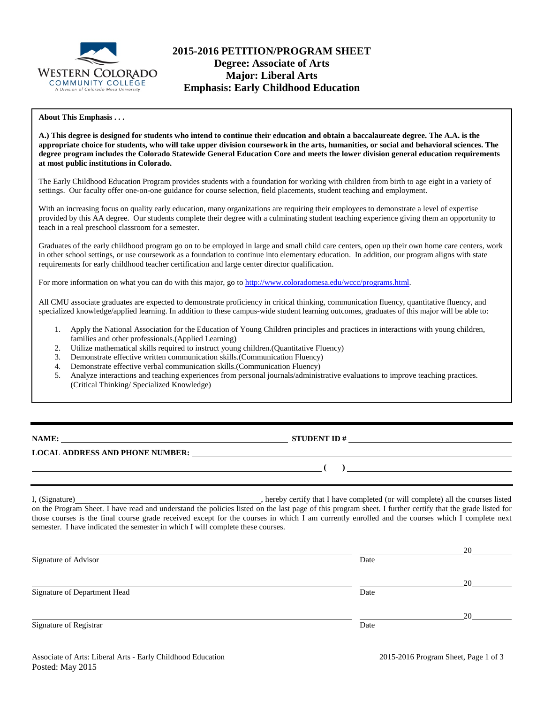

# **2015-2016 PETITION/PROGRAM SHEET Degree: Associate of Arts Major: Liberal Arts Emphasis: Early Childhood Education**

### **About This Emphasis . . .**

**A.) This degree is designed for students who intend to continue their education and obtain a baccalaureate degree. The A.A. is the appropriate choice for students, who will take upper division coursework in the arts, humanities, or social and behavioral sciences. The degree program includes the Colorado Statewide General Education Core and meets the lower division general education requirements at most public institutions in Colorado.**

The Early Childhood Education Program provides students with a foundation for working with children from birth to age eight in a variety of settings. Our faculty offer one-on-one guidance for course selection, field placements, student teaching and employment.

With an increasing focus on quality early education, many organizations are requiring their employees to demonstrate a level of expertise provided by this AA degree. Our students complete their degree with a culminating student teaching experience giving them an opportunity to teach in a real preschool classroom for a semester.

Graduates of the early childhood program go on to be employed in large and small child care centers, open up their own home care centers, work in other school settings, or use coursework as a foundation to continue into elementary education. In addition, our program aligns with state requirements for early childhood teacher certification and large center director qualification.

For more information on what you can do with this major, go to [http://www.coloradomesa.edu/wccc/programs.html.](http://www.coloradomesa.edu/wccc/programs.html)

All CMU associate graduates are expected to demonstrate proficiency in critical thinking, communication fluency, quantitative fluency, and specialized knowledge/applied learning. In addition to these campus-wide student learning outcomes, graduates of this major will be able to:

- 1. Apply the National Association for the Education of Young Children principles and practices in interactions with young children, families and other professionals.(Applied Learning)
- 2. Utilize mathematical skills required to instruct young children.(Quantitative Fluency)
- 3. Demonstrate effective written communication skills.(Communication Fluency)
- 4. Demonstrate effective verbal communication skills.(Communication Fluency)
- 5. Analyze interactions and teaching experiences from personal journals/administrative evaluations to improve teaching practices. (Critical Thinking/ Specialized Knowledge)

| NAME |  |
|------|--|
|      |  |

**STUDENT ID #** 

## **LOCAL ADDRESS AND PHONE NUMBER:**

I, (Signature) , hereby certify that I have completed (or will complete) all the courses listed on the Program Sheet. I have read and understand the policies listed on the last page of this program sheet. I further certify that the grade listed for those courses is the final course grade received except for the courses in which I am currently enrolled and the courses which I complete next semester. I have indicated the semester in which I will complete these courses.

| Date |    |
|------|----|
|      | 20 |
| Date |    |
|      | 20 |
| Date |    |
|      |    |

**( )** 

<u> 1980 - Johann Barn, mars eta bainar eta baina eta baina eta baina eta baina eta baina eta baina eta baina e</u>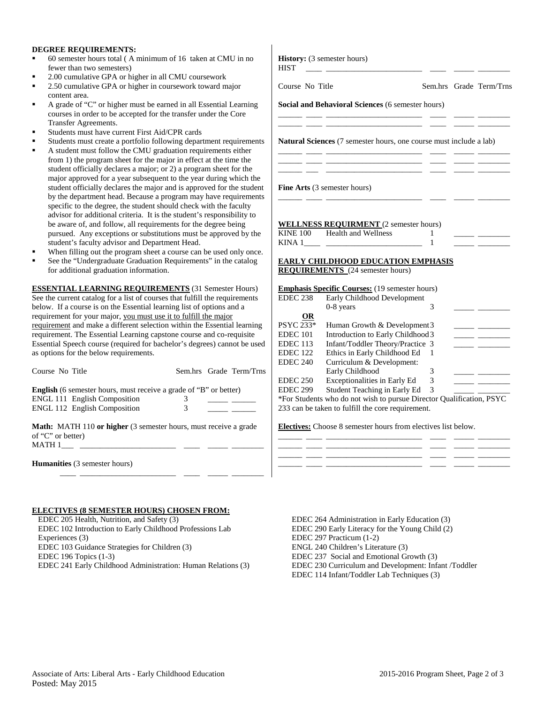### **DEGREE REQUIREMENTS:**

- 60 semester hours total ( A minimum of 16 taken at CMU in no fewer than two semesters)
- 2.00 cumulative GPA or higher in all CMU coursework
- 2.50 cumulative GPA or higher in coursework toward major content area.
- A grade of "C" or higher must be earned in all Essential Learning courses in order to be accepted for the transfer under the Core Transfer Agreements.
- Students must have current First Aid/CPR cards
- Students must create a portfolio following department requirements
- A student must follow the CMU graduation requirements either from 1) the program sheet for the major in effect at the time the student officially declares a major; or 2) a program sheet for the major approved for a year subsequent to the year during which the student officially declares the major and is approved for the stude by the department head. Because a program may have requirement specific to the degree, the student should check with the faculty advisor for additional criteria. It is the student's responsibility to be aware of, and follow, all requirements for the degree being pursued. Any exceptions or substitutions must be approved by th student's faculty advisor and Department Head.
- When filling out the program sheet a course can be used only onc
- See the "Undergraduate Graduation Requirements" in the catalog for additional graduation information.

**ESSENTIAL LEARNING REQUIREMENTS** (31 Semester Hours) See the current catalog for a list of courses that fulfill the requirements below. If a course is on the Essential learning list of options and a requirement for your major, you must use it to fulfill the major requirement and make a different selection within the Essential learnin requirement. The Essential Learning capstone course and co-requisite Essential Speech course (required for bachelor's degrees) cannot be us as options for the below requirements.

| Course No Title                                                                                                 |   | Sem.hrs Grade Term/Trns |
|-----------------------------------------------------------------------------------------------------------------|---|-------------------------|
| <b>English</b> (6 semester hours, must receive a grade of "B" or better)<br><b>ENGL 111 English Composition</b> | 3 |                         |
| <b>ENGL 112 English Composition</b>                                                                             |   |                         |
| <b>Math:</b> MATH 110 or higher (3 semester hours, must receive a grade<br>of "C" or better)                    |   |                         |
| MATH 1                                                                                                          |   |                         |
| <b>Humanities</b> (3 semester hours)                                                                            |   |                         |

#### **ELECTIVES (8 SEMESTER HOURS) CHOSEN FROM:**

 EDEC 205 Health, Nutrition, and Safety (3) EDEC 102 Introduction to Early Childhood Professions Lab Experiences (3) EDEC 103 Guidance Strategies for Children (3) EDEC 196 Topics (1-3) EDEC 241 Early Childhood Administration: Human Relations (3)

|                                                        | $\overline{1}$                                                                                                                                                                       |                                                                                                                                                                                                                                                                                                                                                                                                                                                                                                                                                                                                                                                 | <u> Albanya (Albanya Albanya)</u>                                                                                                                 |
|--------------------------------------------------------|--------------------------------------------------------------------------------------------------------------------------------------------------------------------------------------|-------------------------------------------------------------------------------------------------------------------------------------------------------------------------------------------------------------------------------------------------------------------------------------------------------------------------------------------------------------------------------------------------------------------------------------------------------------------------------------------------------------------------------------------------------------------------------------------------------------------------------------------------|---------------------------------------------------------------------------------------------------------------------------------------------------|
|                                                        |                                                                                                                                                                                      |                                                                                                                                                                                                                                                                                                                                                                                                                                                                                                                                                                                                                                                 |                                                                                                                                                   |
|                                                        |                                                                                                                                                                                      |                                                                                                                                                                                                                                                                                                                                                                                                                                                                                                                                                                                                                                                 |                                                                                                                                                   |
|                                                        |                                                                                                                                                                                      |                                                                                                                                                                                                                                                                                                                                                                                                                                                                                                                                                                                                                                                 |                                                                                                                                                   |
|                                                        |                                                                                                                                                                                      |                                                                                                                                                                                                                                                                                                                                                                                                                                                                                                                                                                                                                                                 |                                                                                                                                                   |
|                                                        |                                                                                                                                                                                      |                                                                                                                                                                                                                                                                                                                                                                                                                                                                                                                                                                                                                                                 | <u> 1989 - Johann John Stone, mars et al.</u>                                                                                                     |
|                                                        |                                                                                                                                                                                      |                                                                                                                                                                                                                                                                                                                                                                                                                                                                                                                                                                                                                                                 |                                                                                                                                                   |
| Introduction to Early Childhood 3                      |                                                                                                                                                                                      |                                                                                                                                                                                                                                                                                                                                                                                                                                                                                                                                                                                                                                                 |                                                                                                                                                   |
| Infant/Toddler Theory/Practice 3                       |                                                                                                                                                                                      |                                                                                                                                                                                                                                                                                                                                                                                                                                                                                                                                                                                                                                                 | <u> 1989 - John Barnett, francuski politik (</u>                                                                                                  |
| Ethics in Early Childhood Ed                           | 1                                                                                                                                                                                    |                                                                                                                                                                                                                                                                                                                                                                                                                                                                                                                                                                                                                                                 |                                                                                                                                                   |
| Curriculum & Development:                              |                                                                                                                                                                                      |                                                                                                                                                                                                                                                                                                                                                                                                                                                                                                                                                                                                                                                 |                                                                                                                                                   |
| Early Childhood<br><b>Exceptionalities in Early Ed</b> | 3<br>3                                                                                                                                                                               |                                                                                                                                                                                                                                                                                                                                                                                                                                                                                                                                                                                                                                                 |                                                                                                                                                   |
| <b>EDEC 238</b>                                        | <b>History:</b> (3 semester hours)<br>Course No Title<br><b>Fine Arts</b> (3 semester hours)<br>KINE 100 Health and Wellness<br><b>REQUIREMENTS</b> (24 semester hours)<br>0-8 years | Social and Behavioral Sciences (6 semester hours)<br><u>. A series and the series of the series of the series of the series of the series of the series of the series of the series of the series of the series of the series of the series of the series of the series of the series</u><br><u> 1980 - John Barnett, filozof eta inperiodo eta inperiodo eta inperiodo eta inperiodo eta inperiodo eta inper</u><br><u> 1990 - Jan James James Sandar (</u><br><b>WELLNESS REQUIRMENT</b> (2 semester hours)<br>1<br><b>Emphasis Specific Courses:</b> (19 semester hours)<br>Early Childhood Development<br>3<br>Human Growth & Development 3 | Sem.hrs Grade Term/Trns<br>Natural Sciences (7 semester hours, one course must include a lab)<br><b>EARLY CHILDHOOD EDUCATION EMPHASIS</b><br>— — |

\*For Students who do not wish to pursue Director Qualification, PSYC 233 can be taken to fulfill the core requirement.

\_\_\_\_\_\_ \_\_\_\_ \_\_\_\_\_\_\_\_\_\_\_\_\_\_\_\_\_\_\_\_\_\_\_\_ \_\_\_\_ \_\_\_\_\_ \_\_\_\_\_\_\_\_ \_\_\_\_\_\_ \_\_\_\_ \_\_\_\_\_\_\_\_\_\_\_\_\_\_\_\_\_\_\_\_\_\_\_\_ \_\_\_\_ \_\_\_\_\_ \_\_\_\_\_\_\_\_ \_\_\_\_\_\_ \_\_\_\_ \_\_\_\_\_\_\_\_\_\_\_\_\_\_\_\_\_\_\_\_\_\_\_\_ \_\_\_\_ \_\_\_\_\_ \_\_\_\_\_\_\_\_ \_\_\_\_\_\_ \_\_\_\_ \_\_\_\_\_\_\_\_\_\_\_\_\_\_\_\_\_\_\_\_\_\_\_\_ \_\_\_\_ \_\_\_\_\_ \_\_\_\_\_\_\_\_

**Electives:** Choose 8 semester hours from electives list below.

| EDEC 264 Administration in Early Education (3)       |
|------------------------------------------------------|
| EDEC 290 Early Literacy for the Young Child (2)      |
| EDEC 297 Practicum (1-2)                             |
| ENGL 240 Children's Literature (3)                   |
| EDEC 237 Social and Emotional Growth (3)             |
| EDEC 230 Curriculum and Development: Infant /Toddler |
| EDEC 114 Infant/Toddler Lab Techniques (3)           |